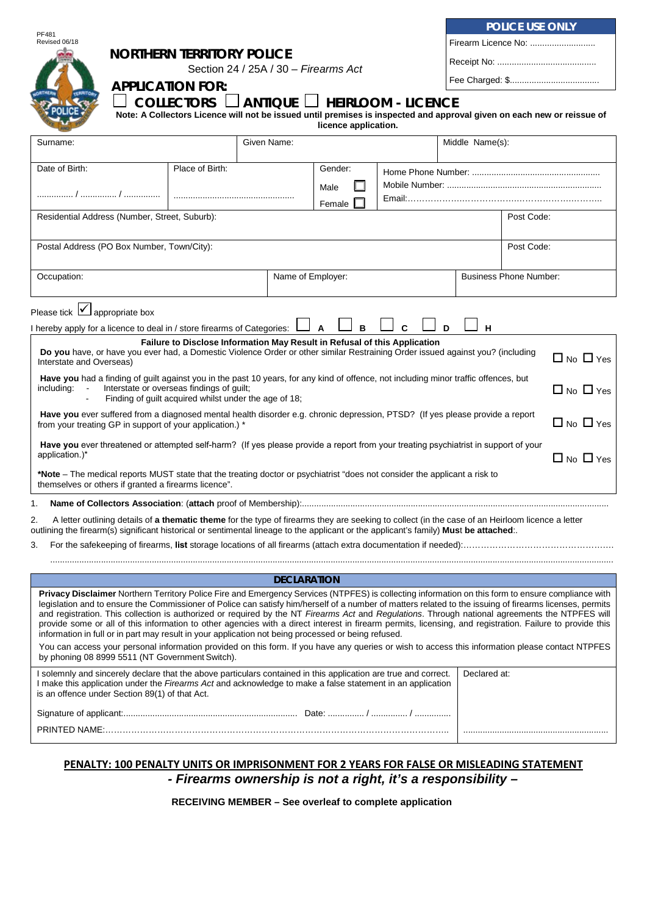|                                                                                                                                                                                                                                                                                                                                                                                                                                                                                                                                                                                                                                                                                                                                                                                                                                                                                                                                              |                    |                |                     | POLICE USE ONLY |                               |  |  |
|----------------------------------------------------------------------------------------------------------------------------------------------------------------------------------------------------------------------------------------------------------------------------------------------------------------------------------------------------------------------------------------------------------------------------------------------------------------------------------------------------------------------------------------------------------------------------------------------------------------------------------------------------------------------------------------------------------------------------------------------------------------------------------------------------------------------------------------------------------------------------------------------------------------------------------------------|--------------------|----------------|---------------------|-----------------|-------------------------------|--|--|
| PF481<br>Revised 06/18<br><b>NORTHERN TERRITORY POLICE</b><br>Section 24 / 25A / 30 - Firearms Act                                                                                                                                                                                                                                                                                                                                                                                                                                                                                                                                                                                                                                                                                                                                                                                                                                           |                    |                | Firearm Licence No: |                 |                               |  |  |
|                                                                                                                                                                                                                                                                                                                                                                                                                                                                                                                                                                                                                                                                                                                                                                                                                                                                                                                                              |                    |                |                     |                 |                               |  |  |
| <b>APPLICATION FOR:</b>                                                                                                                                                                                                                                                                                                                                                                                                                                                                                                                                                                                                                                                                                                                                                                                                                                                                                                                      |                    |                |                     |                 |                               |  |  |
| COLLECTORS $\Box$ ANTIQUE $\Box$ HEIRLOOM - LICENCE<br>Note: A Collectors Licence will not be issued until premises is inspected and approval given on each new or reissue of<br>licence application.                                                                                                                                                                                                                                                                                                                                                                                                                                                                                                                                                                                                                                                                                                                                        |                    |                |                     |                 |                               |  |  |
| Surname:                                                                                                                                                                                                                                                                                                                                                                                                                                                                                                                                                                                                                                                                                                                                                                                                                                                                                                                                     | Given Name:        |                |                     | Middle Name(s): |                               |  |  |
| Place of Birth:<br>Date of Birth:                                                                                                                                                                                                                                                                                                                                                                                                                                                                                                                                                                                                                                                                                                                                                                                                                                                                                                            |                    | Gender:        |                     |                 |                               |  |  |
|                                                                                                                                                                                                                                                                                                                                                                                                                                                                                                                                                                                                                                                                                                                                                                                                                                                                                                                                              |                    | Male<br>Female |                     |                 |                               |  |  |
| Residential Address (Number, Street, Suburb):                                                                                                                                                                                                                                                                                                                                                                                                                                                                                                                                                                                                                                                                                                                                                                                                                                                                                                |                    |                |                     |                 | Post Code:                    |  |  |
| Postal Address (PO Box Number, Town/City):                                                                                                                                                                                                                                                                                                                                                                                                                                                                                                                                                                                                                                                                                                                                                                                                                                                                                                   |                    |                |                     |                 | Post Code:                    |  |  |
| Occupation:                                                                                                                                                                                                                                                                                                                                                                                                                                                                                                                                                                                                                                                                                                                                                                                                                                                                                                                                  | Name of Employer:  |                |                     |                 | <b>Business Phone Number:</b> |  |  |
| Please tick $\boxed{\checkmark}$ appropriate box                                                                                                                                                                                                                                                                                                                                                                                                                                                                                                                                                                                                                                                                                                                                                                                                                                                                                             |                    |                |                     |                 |                               |  |  |
| I hereby apply for a licence to deal in / store firearms of Categories:                                                                                                                                                                                                                                                                                                                                                                                                                                                                                                                                                                                                                                                                                                                                                                                                                                                                      |                    | A<br>B         | C                   | D<br>н          |                               |  |  |
| Failure to Disclose Information May Result in Refusal of this Application<br>Do you have, or have you ever had, a Domestic Violence Order or other similar Restraining Order issued against you? (including<br>$\Box$ No $\Box$ Yes<br>Interstate and Overseas)                                                                                                                                                                                                                                                                                                                                                                                                                                                                                                                                                                                                                                                                              |                    |                |                     |                 |                               |  |  |
| Have you had a finding of guilt against you in the past 10 years, for any kind of offence, not including minor traffic offences, but<br>including:<br>Interstate or overseas findings of guilt;<br>$\Box$ No $\Box$ Yes<br>Finding of guilt acquired whilst under the age of 18;                                                                                                                                                                                                                                                                                                                                                                                                                                                                                                                                                                                                                                                             |                    |                |                     |                 |                               |  |  |
| Have you ever suffered from a diagnosed mental health disorder e.g. chronic depression, PTSD? (If yes please provide a report<br>$\Box$ No $\Box$ Yes<br>from your treating GP in support of your application.) *                                                                                                                                                                                                                                                                                                                                                                                                                                                                                                                                                                                                                                                                                                                            |                    |                |                     |                 |                               |  |  |
| Have you ever threatened or attempted self-harm? (If yes please provide a report from your treating psychiatrist in support of your<br>application.)*<br>$\Box$ No $\Box$ Yes                                                                                                                                                                                                                                                                                                                                                                                                                                                                                                                                                                                                                                                                                                                                                                |                    |                |                     |                 |                               |  |  |
| *Note – The medical reports MUST state that the treating doctor or psychiatrist "does not consider the applicant a risk to<br>themselves or others if granted a firearms licence".                                                                                                                                                                                                                                                                                                                                                                                                                                                                                                                                                                                                                                                                                                                                                           |                    |                |                     |                 |                               |  |  |
|                                                                                                                                                                                                                                                                                                                                                                                                                                                                                                                                                                                                                                                                                                                                                                                                                                                                                                                                              |                    |                |                     |                 |                               |  |  |
| A letter outlining details of a thematic theme for the type of firearms they are seeking to collect (in the case of an Heirloom licence a letter<br>2.<br>outlining the firearm(s) significant historical or sentimental lineage to the applicant or the applicant's family) Must be attached:.                                                                                                                                                                                                                                                                                                                                                                                                                                                                                                                                                                                                                                              |                    |                |                     |                 |                               |  |  |
| 3.                                                                                                                                                                                                                                                                                                                                                                                                                                                                                                                                                                                                                                                                                                                                                                                                                                                                                                                                           |                    |                |                     |                 |                               |  |  |
|                                                                                                                                                                                                                                                                                                                                                                                                                                                                                                                                                                                                                                                                                                                                                                                                                                                                                                                                              | <b>DECLARATION</b> |                |                     |                 |                               |  |  |
| Privacy Disclaimer Northern Territory Police Fire and Emergency Services (NTPFES) is collecting information on this form to ensure compliance with<br>legislation and to ensure the Commissioner of Police can satisfy him/herself of a number of matters related to the issuing of firearms licenses, permits<br>and registration. This collection is authorized or required by the NT Firearms Act and Regulations. Through national agreements the NTPFES will<br>provide some or all of this information to other agencies with a direct interest in firearm permits, licensing, and registration. Failure to provide this<br>information in full or in part may result in your application not being processed or being refused.<br>You can access your personal information provided on this form. If you have any queries or wish to access this information please contact NTPFES<br>by phoning 08 8999 5511 (NT Government Switch). |                    |                |                     |                 |                               |  |  |
| I solemnly and sincerely declare that the above particulars contained in this application are true and correct.<br>I make this application under the Firearms Act and acknowledge to make a false statement in an application<br>is an offence under Section 89(1) of that Act.                                                                                                                                                                                                                                                                                                                                                                                                                                                                                                                                                                                                                                                              |                    |                |                     | Declared at:    |                               |  |  |
|                                                                                                                                                                                                                                                                                                                                                                                                                                                                                                                                                                                                                                                                                                                                                                                                                                                                                                                                              |                    |                |                     |                 |                               |  |  |
|                                                                                                                                                                                                                                                                                                                                                                                                                                                                                                                                                                                                                                                                                                                                                                                                                                                                                                                                              |                    |                |                     |                 |                               |  |  |

## **PENALTY: 100 PENALTY UNITS OR IMPRISONMENT FOR 2 YEARS FOR FALSE OR MISLEADING STATEMENT** *- Firearms ownership is not a right, it's a responsibility –*

**RECEIVING MEMBER – See overleaf to complete application**